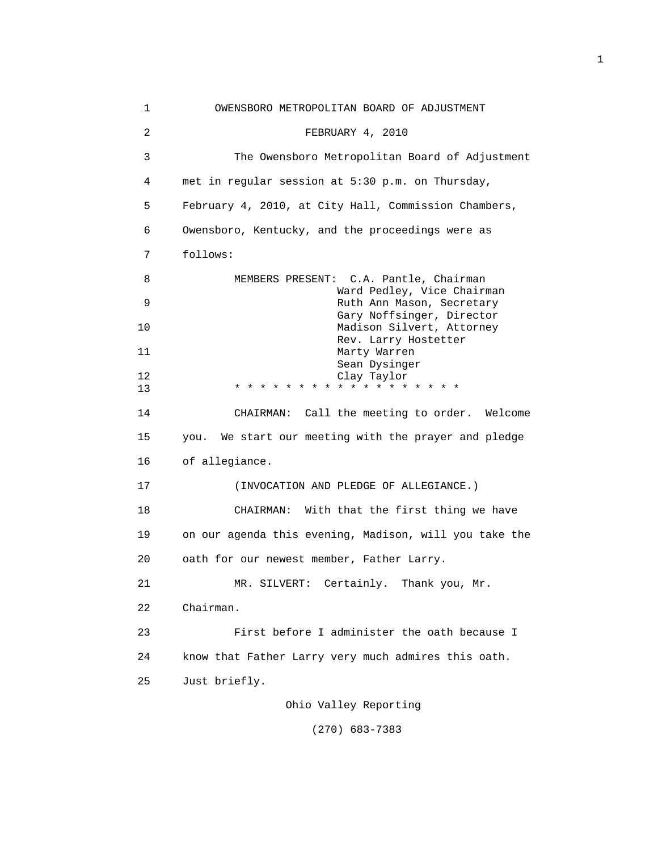| 1  | OWENSBORO METROPOLITAN BOARD OF ADJUSTMENT              |
|----|---------------------------------------------------------|
| 2  | FEBRUARY 4, 2010                                        |
| 3  | The Owensboro Metropolitan Board of Adjustment          |
| 4  | met in regular session at 5:30 p.m. on Thursday,        |
| 5  | February 4, 2010, at City Hall, Commission Chambers,    |
| 6  | Owensboro, Kentucky, and the proceedings were as        |
| 7  | follows:                                                |
| 8  | MEMBERS PRESENT: C.A. Pantle, Chairman                  |
| 9  | Ward Pedley, Vice Chairman<br>Ruth Ann Mason, Secretary |
| 10 | Gary Noffsinger, Director<br>Madison Silvert, Attorney  |
| 11 | Rev. Larry Hostetter<br>Marty Warren                    |
|    | Sean Dysinger                                           |
| 12 | Clay Taylor                                             |
| 13 | * * * * * * * * * * *                                   |
| 14 | CHAIRMAN: Call the meeting to order. Welcome            |
| 15 | We start our meeting with the prayer and pledge<br>you. |
| 16 | of allegiance.                                          |
| 17 | (INVOCATION AND PLEDGE OF ALLEGIANCE.)                  |
| 18 | CHAIRMAN: With that the first thing we have             |
| 19 | on our agenda this evening, Madison, will you take the  |
| 20 | oath for our newest member, Father Larry.               |
| 21 | Thank you, Mr.<br>Certainly.<br>MR. SILVERT:            |
| 22 | Chairman.                                               |
| 23 | First before I administer the oath because I            |
| 24 | know that Father Larry very much admires this oath.     |
| 25 | Just briefly.                                           |
|    | Ohio Valley Reporting                                   |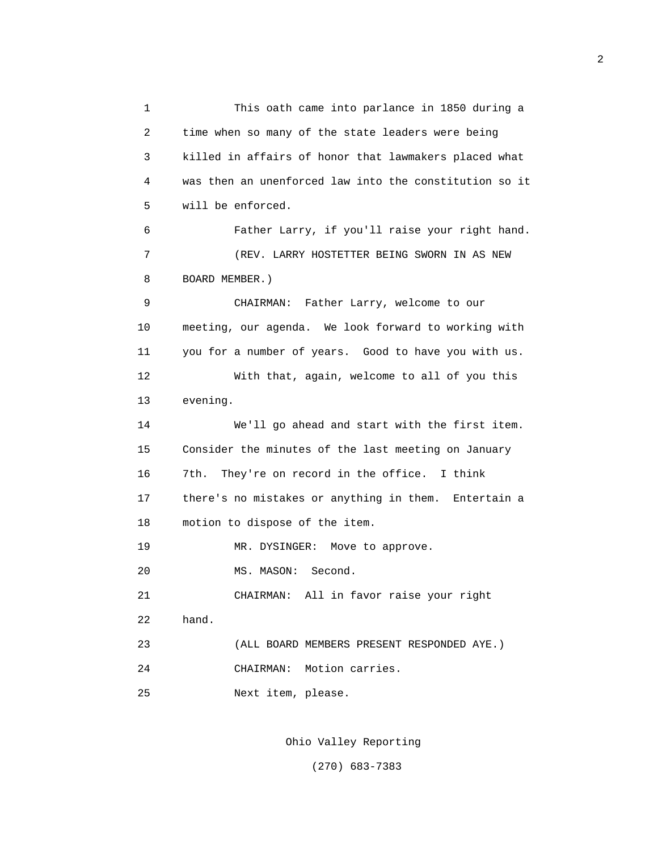1 This oath came into parlance in 1850 during a 2 time when so many of the state leaders were being 3 killed in affairs of honor that lawmakers placed what 4 was then an unenforced law into the constitution so it 5 will be enforced. 6 Father Larry, if you'll raise your right hand. 7 (REV. LARRY HOSTETTER BEING SWORN IN AS NEW 8 BOARD MEMBER.) 9 CHAIRMAN: Father Larry, welcome to our 10 meeting, our agenda. We look forward to working with 11 you for a number of years. Good to have you with us. 12 With that, again, welcome to all of you this 13 evening. 14 We'll go ahead and start with the first item. 15 Consider the minutes of the last meeting on January 16 7th. They're on record in the office. I think 17 there's no mistakes or anything in them. Entertain a 18 motion to dispose of the item. 19 MR. DYSINGER: Move to approve. 20 MS. MASON: Second. 21 CHAIRMAN: All in favor raise your right 22 hand. 23 (ALL BOARD MEMBERS PRESENT RESPONDED AYE.) 24 CHAIRMAN: Motion carries. 25 Next item, please.

Ohio Valley Reporting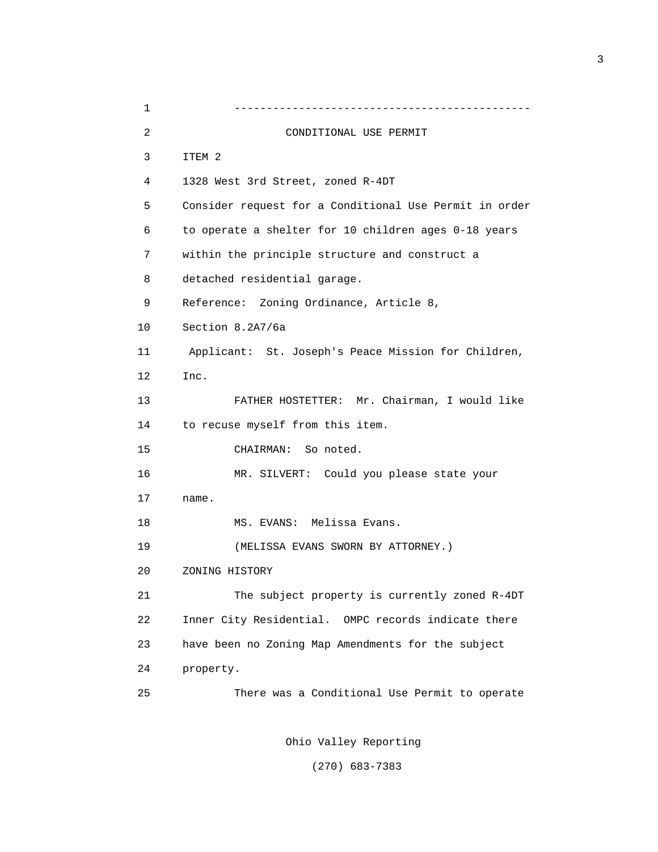| $\mathbf 1$ |                                                        |
|-------------|--------------------------------------------------------|
| 2           | CONDITIONAL USE PERMIT                                 |
| 3           | ITEM 2                                                 |
| 4           | 1328 West 3rd Street, zoned R-4DT                      |
| 5           | Consider request for a Conditional Use Permit in order |
| 6           | to operate a shelter for 10 children ages 0-18 years   |
| 7           | within the principle structure and construct a         |
| 8           | detached residential garage.                           |
| 9           | Reference: Zoning Ordinance, Article 8,                |
| 10          | Section 8.2A7/6a                                       |
| 11          | Applicant: St. Joseph's Peace Mission for Children,    |
| 12          | Inc.                                                   |
| 13          | FATHER HOSTETTER: Mr. Chairman, I would like           |
| 14          | to recuse myself from this item.                       |
| 15          | CHAIRMAN: So noted.                                    |
| 16          | MR. SILVERT: Could you please state your               |
| 17          | name.                                                  |
| 18          | MS. EVANS: Melissa Evans.                              |
| 19          | (MELISSA EVANS SWORN BY ATTORNEY.)                     |
| 20          | ZONING HISTORY                                         |
| 21          | The subject property is currently zoned R-4DT          |
| 22          | Inner City Residential. OMPC records indicate there    |
| 23          | have been no Zoning Map Amendments for the subject     |
| 24          | property.                                              |
| 25          | There was a Conditional Use Permit to operate          |
|             |                                                        |

Ohio Valley Reporting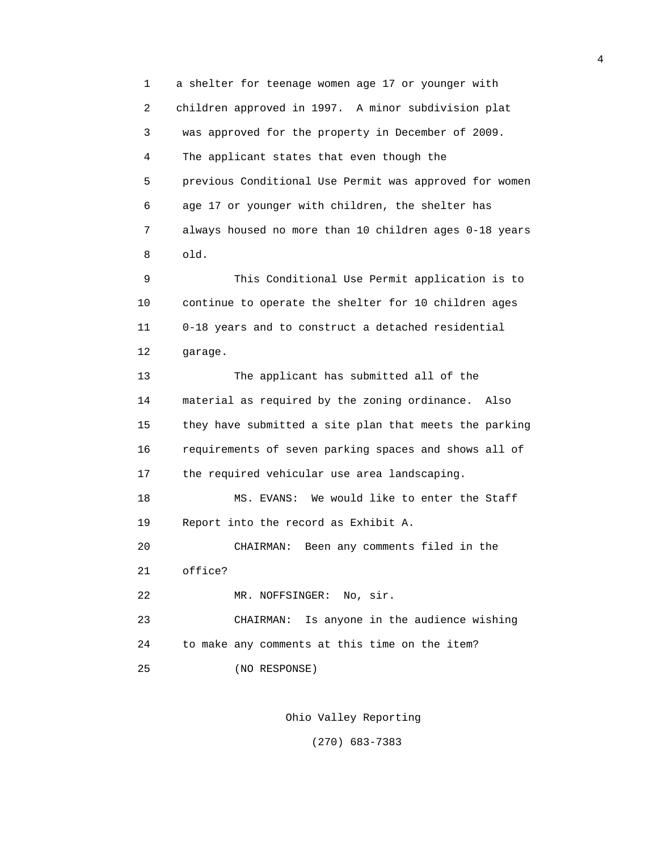1 a shelter for teenage women age 17 or younger with 2 children approved in 1997. A minor subdivision plat 3 was approved for the property in December of 2009. 4 The applicant states that even though the 5 previous Conditional Use Permit was approved for women 6 age 17 or younger with children, the shelter has 7 always housed no more than 10 children ages 0-18 years 8 old. 9 This Conditional Use Permit application is to 10 continue to operate the shelter for 10 children ages 11 0-18 years and to construct a detached residential 12 garage. 13 The applicant has submitted all of the 14 material as required by the zoning ordinance. Also 15 they have submitted a site plan that meets the parking 16 requirements of seven parking spaces and shows all of 17 the required vehicular use area landscaping. 18 MS. EVANS: We would like to enter the Staff 19 Report into the record as Exhibit A. 20 CHAIRMAN: Been any comments filed in the 21 office? 22 MR. NOFFSINGER: No, sir. 23 CHAIRMAN: Is anyone in the audience wishing 24 to make any comments at this time on the item? 25 (NO RESPONSE)

Ohio Valley Reporting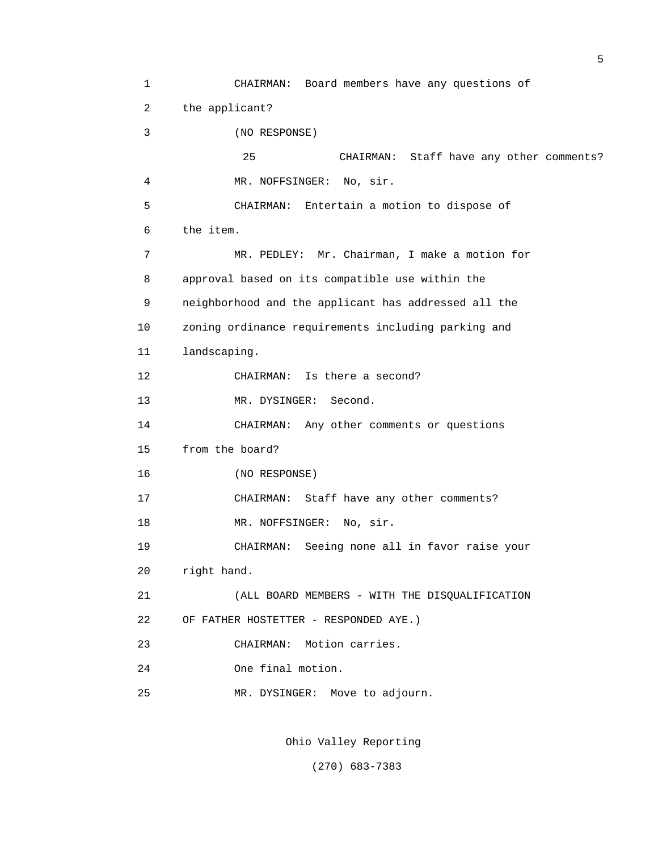1 CHAIRMAN: Board members have any questions of 2 the applicant? 3 (NO RESPONSE) 25 CHAIRMAN: Staff have any other comments? 4 MR. NOFFSINGER: No, sir. 5 CHAIRMAN: Entertain a motion to dispose of 6 the item. 7 MR. PEDLEY: Mr. Chairman, I make a motion for 8 approval based on its compatible use within the 9 neighborhood and the applicant has addressed all the 10 zoning ordinance requirements including parking and 11 landscaping. 12 CHAIRMAN: Is there a second? 13 MR. DYSINGER: Second. 14 CHAIRMAN: Any other comments or questions 15 from the board? 16 (NO RESPONSE) 17 CHAIRMAN: Staff have any other comments? 18 MR. NOFFSINGER: No, sir. 19 CHAIRMAN: Seeing none all in favor raise your 20 right hand. 21 (ALL BOARD MEMBERS - WITH THE DISQUALIFICATION 22 OF FATHER HOSTETTER - RESPONDED AYE.) 23 CHAIRMAN: Motion carries. 24 One final motion. 25 MR. DYSINGER: Move to adjourn.

5

Ohio Valley Reporting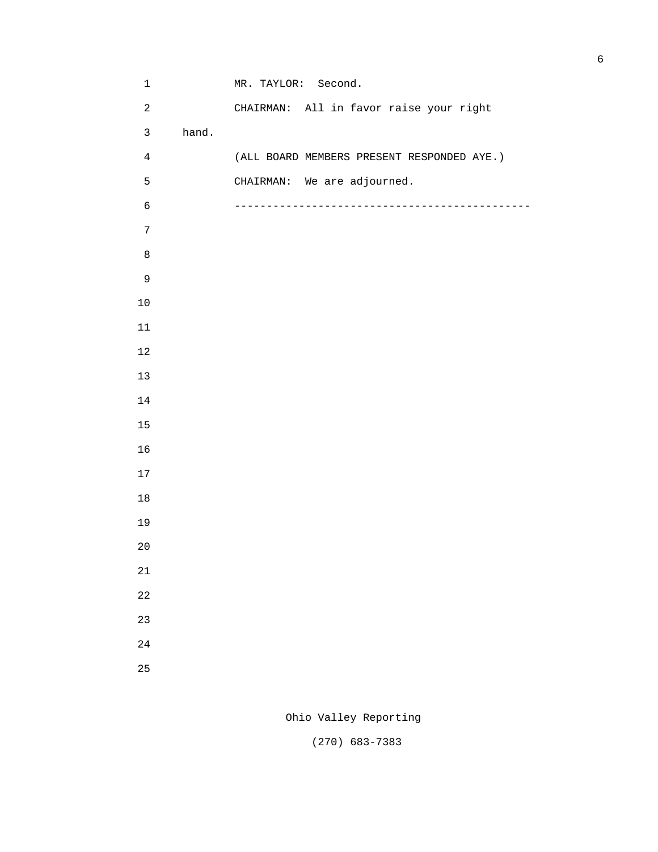1 MR. TAYLOR: Second. 2 CHAIRMAN: All in favor raise your right 3 hand. 4 (ALL BOARD MEMBERS PRESENT RESPONDED AYE.) 5 CHAIRMAN: We are adjourned. 6 ---------------------------------------------- 

Ohio Valley Reporting